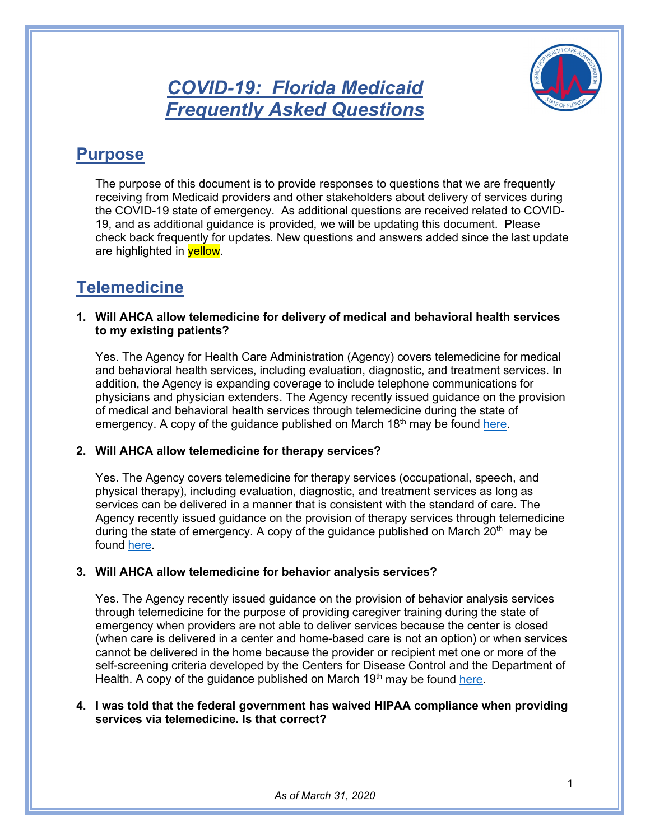*COVID-19: Florida Medicaid Frequently Asked Questions*



# **Purpose**

The purpose of this document is to provide responses to questions that we are frequently receiving from Medicaid providers and other stakeholders about delivery of services during the COVID-19 state of emergency. As additional questions are received related to COVID-19, and as additional guidance is provided, we will be updating this document. Please check back frequently for updates. New questions and answers added since the last update are highlighted in **yellow**.

# **Telemedicine**

#### **1. Will AHCA allow telemedicine for delivery of medical and behavioral health services to my existing patients?**

Yes. The Agency for Health Care Administration (Agency) covers telemedicine for medical and behavioral health services, including evaluation, diagnostic, and treatment services. In addition, the Agency is expanding coverage to include telephone communications for physicians and physician extenders. The Agency recently issued guidance on the provision of medical and behavioral health services through telemedicine during the state of emergency. A copy of the quidance published on March  $18<sup>th</sup>$  may be found [here.](http://ahca.myflorida.com/Medicaid/alerts_90-day.shtml)

# **2. Will AHCA allow telemedicine for therapy services?**

Yes. The Agency covers telemedicine for therapy services (occupational, speech, and physical therapy), including evaluation, diagnostic, and treatment services as long as services can be delivered in a manner that is consistent with the standard of care. The Agency recently issued guidance on the provision of therapy services through telemedicine during the state of emergency. A copy of the guidance published on March  $20<sup>th</sup>$  may be found [here.](http://ahca.myflorida.com/Medicaid/alerts_90-day.shtml)

# **3. Will AHCA allow telemedicine for behavior analysis services?**

Yes. The Agency recently issued guidance on the provision of behavior analysis services through telemedicine for the purpose of providing caregiver training during the state of emergency when providers are not able to deliver services because the center is closed (when care is delivered in a center and home-based care is not an option) or when services cannot be delivered in the home because the provider or recipient met one or more of the self-screening criteria developed by the Centers for Disease Control and the Department of Health. A copy of the guidance published on March  $19<sup>th</sup>$  may be found [here.](http://ahca.myflorida.com/Medicaid/alerts_90-day.shtml)

### **4. I was told that the federal government has waived HIPAA compliance when providing services via telemedicine. Is that correct?**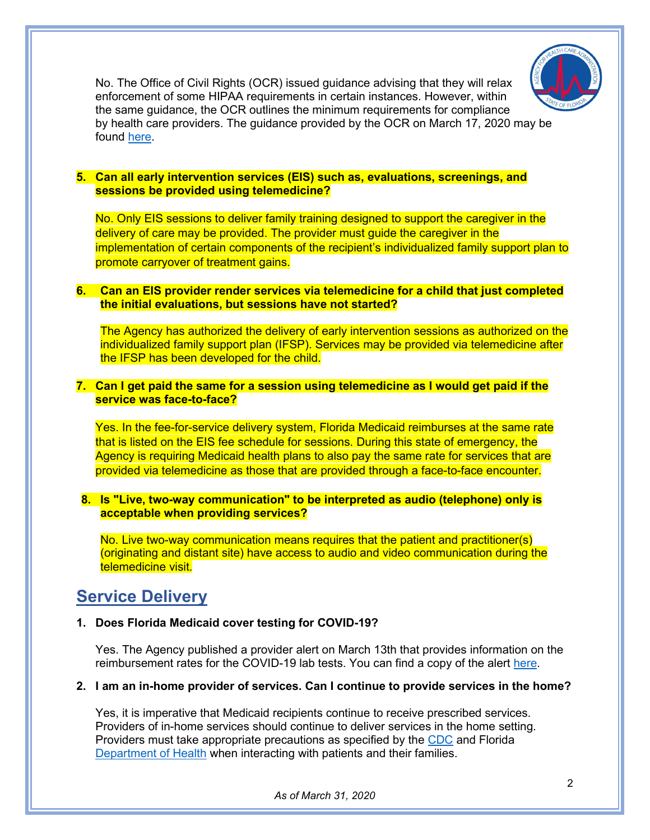

No. The Office of Civil Rights (OCR) issued guidance advising that they will relax enforcement of some HIPAA requirements in certain instances. However, within the same guidance, the OCR outlines the minimum requirements for compliance by health care providers. The guidance provided by the OCR on March 17, 2020 may be found [here.](https://www.hhs.gov/hipaa/for-professionals/special-topics/emergency-preparedness/notification-enforcement-discretion-telehealth/index.html)

#### **5. Can all early intervention services (EIS) such as, evaluations, screenings, and sessions be provided using telemedicine?**

No. Only EIS sessions to deliver family training designed to support the caregiver in the delivery of care may be provided. The provider must guide the caregiver in the implementation of certain components of the recipient's individualized family support plan to promote carryover of treatment gains.

#### **6. Can an EIS provider render services via telemedicine for a child that just completed the initial evaluations, but sessions have not started?**

The Agency has authorized the delivery of early intervention sessions as authorized on the individualized family support plan (IFSP). Services may be provided via telemedicine after the IFSP has been developed for the child.

# **7. Can I get paid the same for a session using telemedicine as I would get paid if the service was face-to-face?**

Yes. In the fee-for-service delivery system, Florida Medicaid reimburses at the same rate that is listed on the EIS fee schedule for sessions. During this state of emergency, the Agency is requiring Medicaid health plans to also pay the same rate for services that are provided via telemedicine as those that are provided through a face-to-face encounter.

#### **8. Is "Live, two-way communication" to be interpreted as audio (telephone) only is acceptable when providing services?**

No. Live two-way communication means requires that the patient and practitioner(s) (originating and distant site) have access to audio and video communication during the telemedicine visit.

# **Service Delivery**

#### **1. Does Florida Medicaid cover testing for COVID-19?**

Yes. The Agency published a provider alert on March 13th that provides information on the reimbursement rates for the COVID-19 lab tests. You can find a copy of the alert [here.](http://ahca.myflorida.com/Medicaid/alerts_90-day.shtml)

#### **2. I am an in-home provider of services. Can I continue to provide services in the home?**

Yes, it is imperative that Medicaid recipients continue to receive prescribed services. Providers of in-home services should continue to deliver services in the home setting. Providers must take appropriate precautions as specified by the [CDC](https://www.cdc.gov/coronavirus/2019-ncov/index.html) and Florida [Department of Health](https://floridahealthcovid19.gov/) when interacting with patients and their families.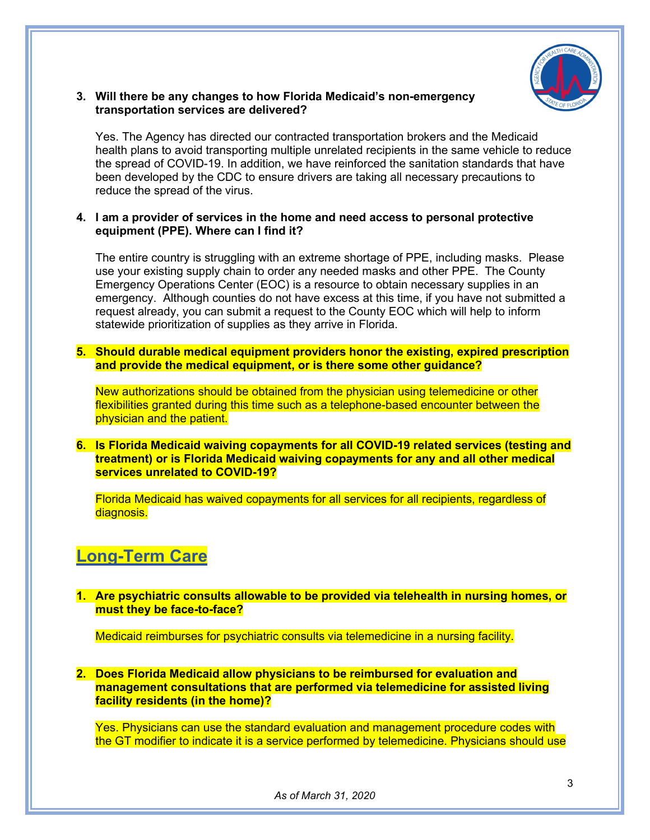

# **3. Will there be any changes to how Florida Medicaid's non-emergency transportation services are delivered?**

Yes. The Agency has directed our contracted transportation brokers and the Medicaid health plans to avoid transporting multiple unrelated recipients in the same vehicle to reduce the spread of COVID-19. In addition, we have reinforced the sanitation standards that have been developed by the CDC to ensure drivers are taking all necessary precautions to reduce the spread of the virus.

### **4. I am a provider of services in the home and need access to personal protective equipment (PPE). Where can I find it?**

The entire country is struggling with an extreme shortage of PPE, including masks. Please use your existing supply chain to order any needed masks and other PPE. The County Emergency Operations Center (EOC) is a resource to obtain necessary supplies in an emergency. Although counties do not have excess at this time, if you have not submitted a request already, you can submit a request to the County EOC which will help to inform statewide prioritization of supplies as they arrive in Florida.

**5. Should durable medical equipment providers honor the existing, expired prescription and provide the medical equipment, or is there some other guidance?**

New authorizations should be obtained from the physician using telemedicine or other flexibilities granted during this time such as a telephone-based encounter between the physician and the patient.

### **6. Is Florida Medicaid waiving copayments for all COVID-19 related services (testing and treatment) or is Florida Medicaid waiving copayments for any and all other medical services unrelated to COVID-19?**

Florida Medicaid has waived copayments for all services for all recipients, regardless of diagnosis.

# **Long-Term Care**

### **1. Are psychiatric consults allowable to be provided via telehealth in nursing homes, or must they be face-to-face?**

Medicaid reimburses for psychiatric consults via telemedicine in a nursing facility.

**2. Does Florida Medicaid allow physicians to be reimbursed for evaluation and management consultations that are performed via telemedicine for assisted living facility residents (in the home)?**

Yes. Physicians can use the standard evaluation and management procedure codes with the GT modifier to indicate it is a service performed by telemedicine. Physicians should use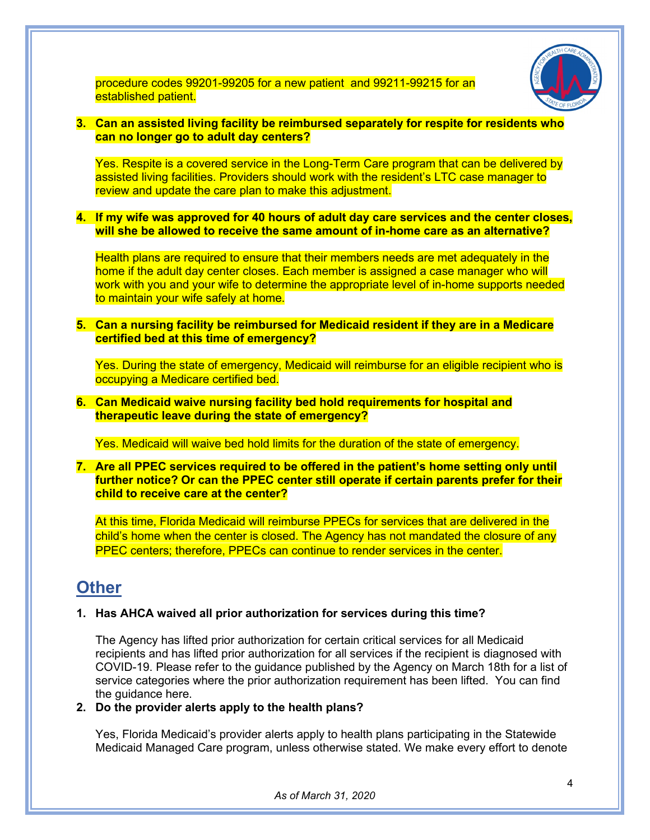

procedure codes 99201-99205 for a new patient and 99211-99215 for an established patient.

### **3. Can an assisted living facility be reimbursed separately for respite for residents who can no longer go to adult day centers?**

Yes. Respite is a covered service in the Long-Term Care program that can be delivered by assisted living facilities. Providers should work with the resident's LTC case manager to review and update the care plan to make this adjustment.

**4. If my wife was approved for 40 hours of adult day care services and the center closes, will she be allowed to receive the same amount of in-home care as an alternative?** 

Health plans are required to ensure that their members needs are met adequately in the home if the adult day center closes. Each member is assigned a case manager who will work with you and your wife to determine the appropriate level of in-home supports needed to maintain your wife safely at home.

**5. Can a nursing facility be reimbursed for Medicaid resident if they are in a Medicare certified bed at this time of emergency?** 

Yes. During the state of emergency, Medicaid will reimburse for an eligible recipient who is occupying a Medicare certified bed.

# **6. Can Medicaid waive nursing facility bed hold requirements for hospital and therapeutic leave during the state of emergency?**

Yes. Medicaid will waive bed hold limits for the duration of the state of emergency.

**7. Are all PPEC services required to be offered in the patient's home setting only until further notice? Or can the PPEC center still operate if certain parents prefer for their child to receive care at the center?**

At this time, Florida Medicaid will reimburse PPECs for services that are delivered in the child's home when the center is closed. The Agency has not mandated the closure of any PPEC centers; therefore, PPECs can continue to render services in the center.

# **Other**

# **1. Has AHCA waived all prior authorization for services during this time?**

The Agency has lifted prior authorization for certain critical services for all Medicaid recipients and has lifted prior authorization for all services if the recipient is diagnosed with COVID-19. Please refer to the guidance published by the Agency on March 18th for a list of service categories where the prior authorization requirement has been lifted. You can find the guidance here.

# **2. Do the provider alerts apply to the health plans?**

Yes, Florida Medicaid's provider alerts apply to health plans participating in the Statewide Medicaid Managed Care program, unless otherwise stated. We make every effort to denote